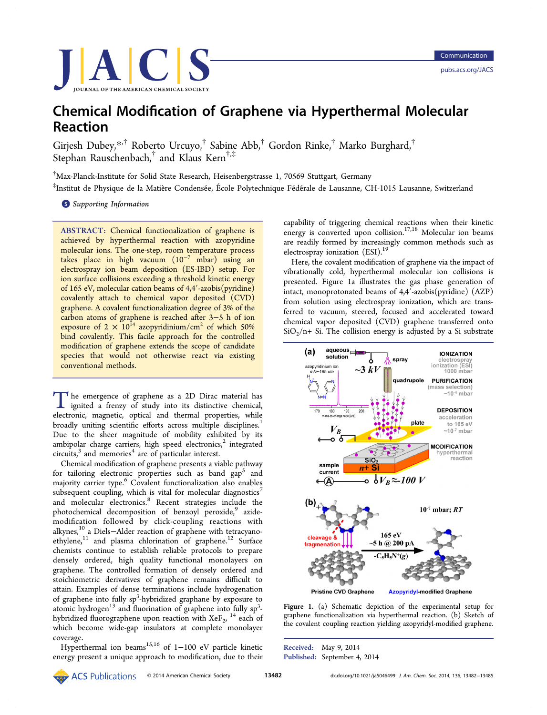<span id="page-0-0"></span>

# Chemical Modification of Graphene via Hyperthermal Molecular Reaction

Girjesh Dubey,[\\*](#page-3-0),† Roberto Urcuyo,† Sabine Abb,† Gordon Rinke,† Marko Burghard,† Stephan Rauschenbach,<sup>†</sup> and Klaus Kern<sup>†,‡</sup>

† Max-Planck-Institute for Solid State Research, Heisenbergstrasse 1, 70569 Stuttgart, Germany

 $^\ddag$ Institut de Physique de la Matière Condensée, École Polytechnique Fédérale de Lausanne, CH-1015 Lausanne, Switzerland

**S** [Supporting Information](#page-2-0)

ABSTRACT: Chemical functionalization of graphene is achieved by hyperthermal reaction with azopyridine molecular ions. The one-step, room temperature process takes place in high vacuum  $(10^{-7} \text{ mbar})$  using an electrospray ion beam deposition (ES-IBD) setup. For ion surface collisions exceeding a threshold kinetic energy of 165 eV, molecular cation beams of 4,4′-azobis(pyridine) covalently attach to chemical vapor deposited (CVD) graphene. A covalent functionalization degree of 3% of the carbon atoms of graphene is reached after 3−5 h of ion exposure of  $2 \times 10^{14}$  azopyridinium/cm<sup>2</sup> of which 50% bind covalently. This facile approach for the controlled modification of graphene extends the scope of candidate species that would not otherwise react via existing conventional methods.

The emergence of graphene as a 2D Dirac material has ignited a frenzy of study into its distinctive chemical, electronic, magnetic, optical and thermal properties, while broadly uniting scientific efforts across multiple disciplines.<sup>[1](#page-3-0)</sup> Due to the sheer magnitude of mobility exhibited by its ambipolar charge carriers, high speed electronics, $2$  integrated circuits, $3$  and memories<sup>[4](#page-3-0)</sup> are of particular interest.

Chemical modification of graphene presents a viable pathway for tailoring electronic properties such as band  $\text{gap}^5$  $\text{gap}^5$  and majority carrier type.<sup>[6](#page-3-0)</sup> Covalent functionalization also enables subsequent coupling, which is vital for molecular diagnostics<sup>[7](#page-3-0)</sup> and molecular electronics.[8](#page-3-0) Recent strategies include the photochemical decomposition of benzoyl peroxide,<sup>[9](#page-3-0)</sup> azidemodification followed by click-coupling reactions with alkynes,<sup>10</sup> a Diels−Alder reaction of graphene with tetracyanoethylene, $11$  and plasma chlorination of graphene.<sup>[12](#page-3-0)</sup> Surface chemists continue to establish reliable protocols to prepare densely ordered, high quality functional monolayers on graphene. The controlled formation of densely ordered and stoichiometric derivatives of graphene remains difficult to attain. Examples of dense terminations include hydrogenation of graphene into fully sp<sup>3</sup>-hybridized graphane by exposure to atomic hydrogen<sup>[13](#page-3-0)</sup> and fluorination of graphene into fully  $sp^3$ hybridized fluorographene upon reaction with  $XeF_2$ , <sup>[14](#page-3-0)</sup> each of which become wide-gap insulators at complete monolayer coverage.

Hyperthermal ion beams<sup>15,[16](#page-3-0)</sup> of 1-100 eV particle kinetic energy present a unique approach to modification, due to their

capability of triggering chemical reactions when their kinetic energy is converted upon collision.<sup>[17](#page-3-0),[18](#page-3-0)</sup> Molecular ion beams are readily formed by increasingly common methods such as electrospray ionization (ESI).<sup>19</sup>

Here, the covalent modification of graphene via the impact of vibrationally cold, hyperthermal molecular ion collisions is presented. Figure 1a illustrates the gas phase generation of intact, monoprotonated beams of 4,4′-azobis(pyridine) (AZP) from solution using electrospray ionization, which are transferred to vacuum, steered, focused and accelerated toward chemical vapor deposited (CVD) graphene transferred onto  $SiO<sub>2</sub>/n+ Si.$  The collision energy is adjusted by a Si substrate



Figure 1. (a) Schematic depiction of the experimental setup for graphene functionalization via hyperthermal reaction. (b) Sketch of the covalent coupling reaction yielding azopyridyl-modified graphene.

Received: May 9, 2014 Published: September 4, 2014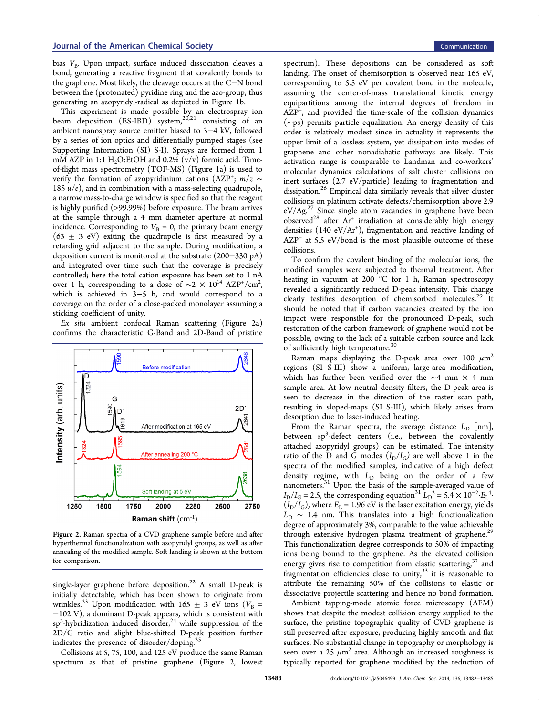bias  $V_{\rm B}$ . Upon impact, surface induced dissociation cleaves a bond, generating a reactive fragment that covalently bonds to the graphene. Most likely, the cleavage occurs at the C−N bond between the (protonated) pyridine ring and the azo-group, thus generating an azopyridyl-radical as depicted in Figure [1](#page-0-0)b.

This experiment is made possible by an electrospray ion beam deposition  $(ES-IBD)^{\text{-}}$  system,<sup>[20,21](#page-3-0)</sup> consisting of an ambient nanospray source emitter biased to 3−4 kV, followed by a series of ion optics and differentially pumped stages (see [Supporting Information \(SI\) S-I](#page-2-0)). Sprays are formed from 1 mM AZP in 1:1  $H<sub>2</sub>O:EtOH$  and 0.2% (v/v) formic acid. Timeof-flight mass spectrometry (TOF-MS) (Figure [1](#page-0-0)a) is used to verify the formation of azopyridinium cations (AZP<sup>+</sup>;  $m/z \sim$ 185  $u/e$ ), and in combination with a mass-selecting quadrupole, a narrow mass-to-charge window is specified so that the reagent is highly purified (>99.99%) before exposure. The beam arrives at the sample through a 4 mm diameter aperture at normal incidence. Corresponding to  $V_B = 0$ , the primary beam energy  $(63 \pm 3 \text{ eV})$  exiting the quadrupole is first measured by a retarding grid adjacent to the sample. During modification, a deposition current is monitored at the substrate (200−330 pA) and integrated over time such that the coverage is precisely controlled; here the total cation exposure has been set to 1 nA over 1 h, corresponding to a dose of  $\sim$ 2  $\times$   $10^{14}$  AZP $^{\ast}/\text{cm}^{2}$ , which is achieved in 3−5 h, and would correspond to a coverage on the order of a close-packed monolayer assuming a sticking coefficient of unity.

Ex situ ambient confocal Raman scattering (Figure 2a) confirms the characteristic G-Band and 2D-Band of pristine



Figure 2. Raman spectra of a CVD graphene sample before and after hyperthermal functionalization with azopyridyl groups, as well as after annealing of the modified sample. Soft landing is shown at the bottom for comparison.

single-layer graphene before deposition.<sup>[22](#page-3-0)</sup> A small D-peak is initially detectable, which has been shown to originate from wrinkles.<sup>[23](#page-3-0)</sup> Upon modification with 165  $\pm$  3 eV ions ( $V_B$  = −102 V), a dominant D-peak appears, which is consistent with sp<sup>3</sup>-hybridization induced disorder,<sup>[24](#page-3-0)</sup> while suppression of the 2D/G ratio and slight blue-shifted D-peak position further indicates the presence of disorder/doping.[25](#page-3-0)

Collisions at 5, 75, 100, and 125 eV produce the same Raman spectrum as that of pristine graphene (Figure 2, lowest

spectrum). These depositions can be considered as soft landing. The onset of chemisorption is observed near 165 eV, corresponding to 5.5 eV per covalent bond in the molecule, assuming the center-of-mass translational kinetic energy equipartitions among the internal degrees of freedom in AZP<sup>+</sup>, and provided the time-scale of the collision dynamics (∼ps) permits particle equalization. An energy density of this order is relatively modest since in actuality it represents the upper limit of a lossless system, yet dissipation into modes of graphene and other nonadiabatic pathways are likely. This activation range is comparable to Landman and co-workers' molecular dynamics calculations of salt cluster collisions on inert surfaces (2.7 eV/particle) leading to fragmentation and dissipation.[26](#page-3-0) Empirical data similarly reveals that silver cluster collisions on platinum activate defects/chemisorption above 2.9 eV/Ag.[27](#page-3-0) Since single atom vacancies in graphene have been observed<sup>[28](#page-3-0)</sup> after Ar<sup>+</sup> irradiation at considerably high energy densities (140 eV/Ar<sup>+</sup>), fragmentation and reactive landing of  $AZP<sup>+</sup>$  at 5.5 eV/bond is the most plausible outcome of these collisions.

To confirm the covalent binding of the molecular ions, the modified samples were subjected to thermal treatment. After heating in vacuum at 200 °C for 1 h, Raman spectroscopy revealed a significantly reduced D-peak intensity. This change clearly testifies desorption of chemisorbed molecules.[29](#page-3-0) It should be noted that if carbon vacancies created by the ion impact were responsible for the pronounced D-peak, such restoration of the carbon framework of graphene would not be possible, owing to the lack of a suitable carbon source and lack of sufficiently high temperature.[30](#page-3-0)

Raman maps displaying the D-peak area over 100  $\mu$ m<sup>2</sup> regions [\(SI S-III\)](#page-2-0) show a uniform, large-area modification, which has further been verified over the ∼4 mm × 4 mm sample area. At low neutral density filters, the D-peak area is seen to decrease in the direction of the raster scan path, resulting in sloped-maps [\(SI S-III\)](#page-2-0), which likely arises from desorption due to laser-induced heating.

From the Raman spectra, the average distance  $L_D$  [nm], between sp<sup>3</sup>-defect centers (i.e., between the covalently attached azopyridyl groups) can be estimated. The intensity ratio of the D and G modes  $(I_D/I_G)$  are well above 1 in the spectra of the modified samples, indicative of a high defect density regime, with  $L_D$  being on the order of a few nanometers.[31](#page-3-0) Upon the basis of the sample-averaged value of  $I_{\rm D}/I_{\rm G}$  = 2.5, the corresponding equation<sup>[31](#page-3-0)</sup>  $\tilde{L}_{\rm D}^2$  = 5.4 × 10<sup>-2</sup>⋅ $E_{\rm L}^{4}$ <sup>4</sup>  $(I_D/I_G)$ , where  $E_L$  = 1.96 eV is the laser excitation energy, yields  $L<sub>D</sub>$  ~ 1.4 nm. This translates into a high functionalization degree of approximately 3%, comparable to the value achievable through extensive hydrogen plasma treatment of graphene.<sup>[29](#page-3-0)</sup> This functionalization degree corresponds to 50% of impacting ions being bound to the graphene. As the elevated collision energy gives rise to competition from elastic scattering,<sup>[32](#page-3-0)</sup> and fragmentation efficiencies close to unity, $33$  it is reasonable to attribute the remaining 50% of the collisions to elastic or dissociative projectile scattering and hence no bond formation.

Ambient tapping-mode atomic force microscopy (AFM) shows that despite the modest collision energy supplied to the surface, the pristine topographic quality of CVD graphene is still preserved after exposure, producing highly smooth and flat surfaces. No substantial change in topography or morphology is seen over a 25  $\mu$ m<sup>2</sup> area. Although an increased roughness is typically reported for graphene modified by the reduction of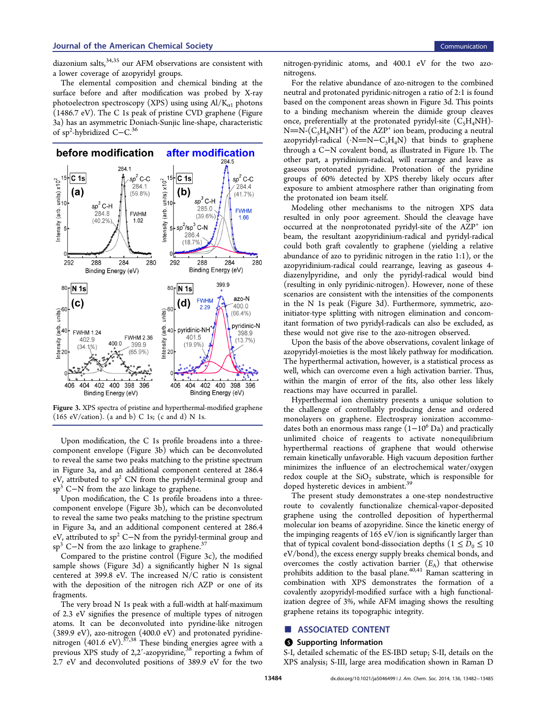<span id="page-2-0"></span>diazonium salts, [34](#page-3-0),[35](#page-3-0) our AFM observations are consistent with a lower coverage of azopyridyl groups.

The elemental composition and chemical binding at the surface before and after modification was probed by X-ray photoelectron spectroscopy (XPS) using using  $Al/K_{a1}$  photons (1486.7 eV). The C 1s peak of pristine CVD graphene (Figure 3a) has an asymmetric Doniach-Sunjic line-shape, characteristic of sp<sup>2</sup>-hybridized C−C.<sup>[36](#page-3-0)</sup>



Figure 3. XPS spectra of pristine and hyperthermal-modified graphene (165 eV/cation). (a and b) C 1s; (c and d) N 1s.

Upon modification, the C 1s profile broadens into a threecomponent envelope (Figure 3b) which can be deconvoluted to reveal the same two peaks matching to the pristine spectrum in Figure 3a, and an additional component centered at 286.4 eV, attributed to  $sp^2$  CN from the pyridyl-terminal group and sp<sup>3</sup> C−N from the azo linkage to graphene.

Upon modification, the C 1s profile broadens into a threecomponent envelope (Figure 3b), which can be deconvoluted to reveal the same two peaks matching to the pristine spectrum in Figure 3a, and an additional component centered at 286.4 eV, attributed to sp<sup>2</sup> C−N from the pyridyl-terminal group and sp<sup>3</sup> C−N from the azo linkage to graphene.<sup>[37](#page-3-0)</sup>

Compared to the pristine control (Figure 3c), the modified sample shows (Figure 3d) a significantly higher N 1s signal centered at 399.8 eV. The increased N/C ratio is consistent with the deposition of the nitrogen rich AZP or one of its fragments.

The very broad N 1s peak with a full-width at half-maximum of 2.3 eV signifies the presence of multiple types of nitrogen atoms. It can be deconvoluted into pyridine-like nitrogen (389.9 eV), azo-nitrogen (400.0 eV) and protonated pyridinenitrogen  $(401.6 \text{ eV})$ .<sup>[37,38](#page-3-0)</sup> These binding energies agree with a previous XPS study of 2,2'-azopyridine,<sup>[38](#page-3-0)</sup> reporting a fwhm of 2.7 eV and deconvoluted positions of 389.9 eV for the two

nitrogen-pyridinic atoms, and 400.1 eV for the two azonitrogens.

For the relative abundance of azo-nitrogen to the combined neutral and protonated pyridinic-nitrogen a ratio of 2:1 is found based on the component areas shown in Figure 3d. This points to a binding mechanism wherein the diimide group cleaves once, preferentially at the protonated pyridyl-site  $(C_5H_4NH)$ - $N=N-(C_5H_4NH^+)$  of the AZP<sup>+</sup> ion beam, producing a neutral azopyridyl-radical  $(\cdot N=N-C_{5}H_{4}N)$  that binds to graphene through a C−N covalent bond, as illustrated in Figure [1](#page-0-0)b. The other part, a pyridinium-radical, will rearrange and leave as gaseous protonated pyridine. Protonation of the pyridine groups of 60% detected by XPS thereby likely occurs after exposure to ambient atmosphere rather than originating from the protonated ion beam itself.

Modeling other mechanisms to the nitrogen XPS data resulted in only poor agreement. Should the cleavage have occurred at the nonprotonated pyridyl-site of the AZP<sup>+</sup> ion beam, the resultant azopyridinium-radical and pyridyl-radical could both graft covalently to graphene (yielding a relative abundance of azo to pyridinic nitrogen in the ratio 1:1), or the azopyridinium-radical could rearrange, leaving as gaseous 4 diazenylpyridine, and only the pyridyl-radical would bind (resulting in only pyridinic-nitrogen). However, none of these scenarios are consistent with the intensities of the components in the N 1s peak (Figure 3d). Furthermore, symmetric, azoinitiator-type splitting with nitrogen elimination and concomitant formation of two pyridyl-radicals can also be excluded, as these would not give rise to the azo-nitrogen observed.

Upon the basis of the above observations, covalent linkage of azopyridyl-moieties is the most likely pathway for modification. The hyperthermal activation, however, is a statistical process as well, which can overcome even a high activation barrier. Thus, within the margin of error of the fits, also other less likely reactions may have occurred in parallel.

Hyperthermal ion chemistry presents a unique solution to the challenge of controllably producing dense and ordered monolayers on graphene. Electrospray ionization accommodates both an enormous mass range  $(1-10^6 \text{ Da})$  and practically unlimited choice of reagents to activate nonequilibrium hyperthermal reactions of graphene that would otherwise remain kinetically unfavorable. High vacuum deposition further minimizes the influence of an electrochemical water/oxygen redox couple at the  $SiO<sub>2</sub>$  substrate, which is responsible for doped hysteretic devices in ambient.<sup>3</sup>

The present study demonstrates a one-step nondestructive route to covalently functionalize chemical-vapor-deposited graphene using the controlled deposition of hyperthermal molecular ion beams of azopyridine. Since the kinetic energy of the impinging reagents of 165 eV/ion is significantly larger than that of typical covalent bond-dissociation depths ( $1 \le D_0 \le 10$ eV/bond), the excess energy supply breaks chemical bonds, and overcomes the costly activation barrier  $(E_A)$  that otherwise prohibits addition to the basal plane.<sup>[40](#page-3-0),[41](#page-3-0)</sup> Raman scattering in combination with XPS demonstrates the formation of a covalently azopyridyl-modified surface with a high functionalization degree of 3%, while AFM imaging shows the resulting graphene retains its topographic integrity.

### ■ ASSOCIATED CONTENT

#### **S** Supporting Information

S-I, detailed schematic of the ES-IBD setup; S-II, details on the XPS analysis; S-III, large area modification shown in Raman D